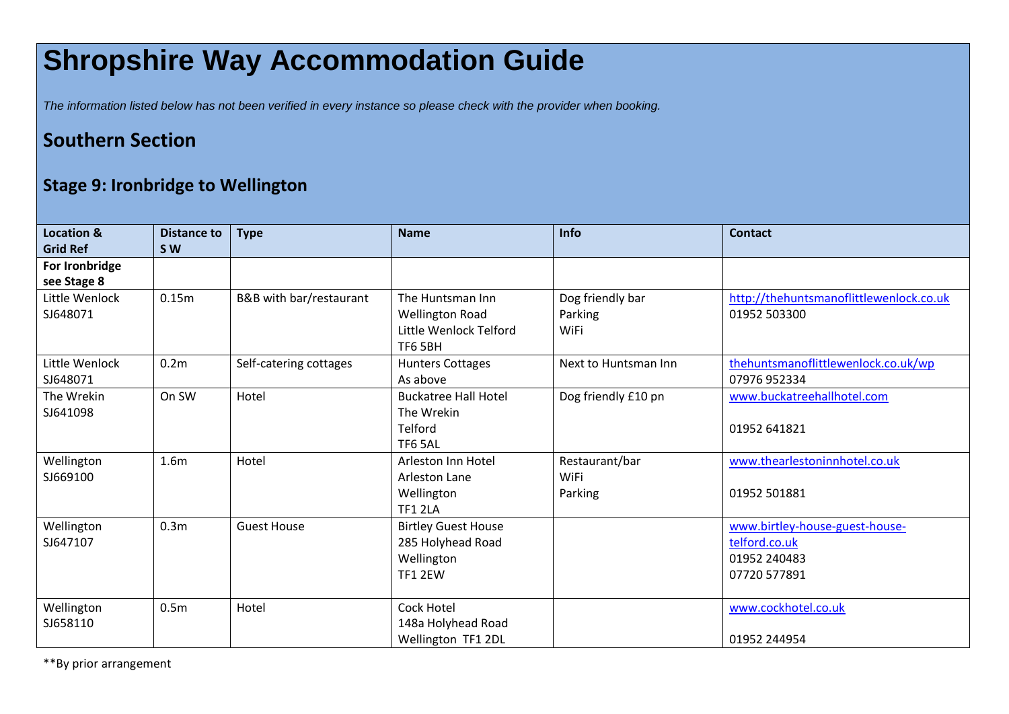## **Shropshire Way Accommodation Guide**

*The information listed below has not been verified in every instance so please check with the provider when booking.*

## **Southern Section**

## **Stage 9: Ironbridge to Wellington**

| <b>Location &amp;</b><br><b>Grid Ref</b> | Distance to<br><b>SW</b> | <b>Type</b>             | <b>Name</b>                                                                     | Info                                | <b>Contact</b>                                                                  |
|------------------------------------------|--------------------------|-------------------------|---------------------------------------------------------------------------------|-------------------------------------|---------------------------------------------------------------------------------|
| For Ironbridge<br>see Stage 8            |                          |                         |                                                                                 |                                     |                                                                                 |
| Little Wenlock<br>SJ648071               | 0.15m                    | B&B with bar/restaurant | The Huntsman Inn<br><b>Wellington Road</b><br>Little Wenlock Telford<br>TF6 5BH | Dog friendly bar<br>Parking<br>WiFi | http://thehuntsmanoflittlewenlock.co.uk<br>01952 503300                         |
| Little Wenlock<br>SJ648071               | 0.2 <sub>m</sub>         | Self-catering cottages  | <b>Hunters Cottages</b><br>As above                                             | Next to Huntsman Inn                | thehuntsmanoflittlewenlock.co.uk/wp<br>07976 952334                             |
| The Wrekin<br>SJ641098                   | On SW                    | Hotel                   | <b>Buckatree Hall Hotel</b><br>The Wrekin<br>Telford<br>TF6 5AL                 | Dog friendly £10 pn                 | www.buckatreehallhotel.com<br>01952 641821                                      |
| Wellington<br>SJ669100                   | 1.6 <sub>m</sub>         | Hotel                   | Arleston Inn Hotel<br>Arleston Lane<br>Wellington<br><b>TF1 2LA</b>             | Restaurant/bar<br>WiFi<br>Parking   | www.thearlestoninnhotel.co.uk<br>01952 501881                                   |
| Wellington<br>SJ647107                   | 0.3 <sub>m</sub>         | <b>Guest House</b>      | <b>Birtley Guest House</b><br>285 Holyhead Road<br>Wellington<br><b>TF1 2EW</b> |                                     | www.birtley-house-guest-house-<br>telford.co.uk<br>01952 240483<br>07720 577891 |
| Wellington<br>SJ658110                   | 0.5 <sub>m</sub>         | Hotel                   | Cock Hotel<br>148a Holyhead Road<br>Wellington TF1 2DL                          |                                     | www.cockhotel.co.uk<br>01952 244954                                             |

\*\*By prior arrangement